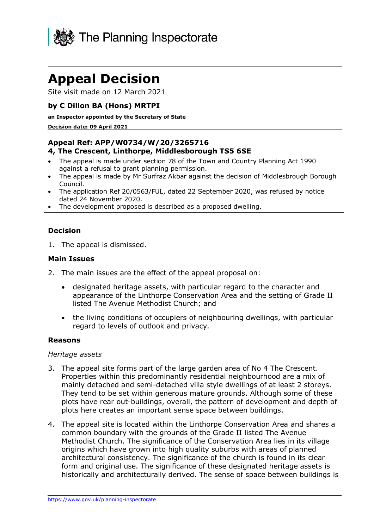

# **Appeal Decision**

Site visit made on 12 March 2021

## **by C Dillon BA (Hons) MRTPI**

#### **an Inspector appointed by the Secretary of State**

#### **Decision date: 09 April 2021**

## **Appeal Ref: APP/W0734/W/20/3265716 4, The Crescent, Linthorpe, Middlesborough TS5 6SE**

- The appeal is made under section 78 of the Town and Country Planning Act 1990 against a refusal to grant planning permission.
- The appeal is made by Mr Surfraz Akbar against the decision of Middlesbrough Borough Council.
- The application Ref 20/0563/FUL, dated 22 September 2020, was refused by notice dated 24 November 2020.
- The development proposed is described as a proposed dwelling.

## **Decision**

1. The appeal is dismissed.

### **Main Issues**

- 2. The main issues are the effect of the appeal proposal on:
	- designated heritage assets, with particular regard to the character and appearance of the Linthorpe Conservation Area and the setting of Grade II listed The Avenue Methodist Church; and
	- the living conditions of occupiers of neighbouring dwellings, with particular regard to levels of outlook and privacy.

### **Reasons**

### *Heritage assets*

- 3. The appeal site forms part of the large garden area of No 4 The Crescent. Properties within this predominantly residential neighbourhood are a mix of mainly detached and semi-detached villa style dwellings of at least 2 storeys. They tend to be set within generous mature grounds. Although some of these plots have rear out-buildings, overall, the pattern of development and depth of plots here creates an important sense space between buildings.
- 4. The appeal site is located within the Linthorpe Conservation Area and shares a common boundary with the grounds of the Grade II listed The Avenue Methodist Church. The significance of the Conservation Area lies in its village origins which have grown into high quality suburbs with areas of planned architectural consistency. The significance of the church is found in its clear form and original use. The significance of these designated heritage assets is historically and architecturally derived. The sense of space between buildings is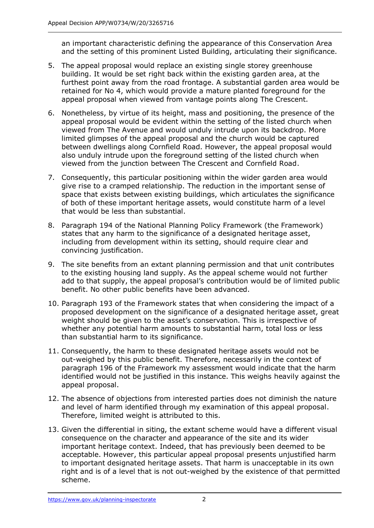an important characteristic defining the appearance of this Conservation Area and the setting of this prominent Listed Building, articulating their significance.

- 5. The appeal proposal would replace an existing single storey greenhouse building. It would be set right back within the existing garden area, at the furthest point away from the road frontage. A substantial garden area would be retained for No 4, which would provide a mature planted foreground for the appeal proposal when viewed from vantage points along The Crescent.
- 6. Nonetheless, by virtue of its height, mass and positioning, the presence of the appeal proposal would be evident within the setting of the listed church when viewed from The Avenue and would unduly intrude upon its backdrop. More limited glimpses of the appeal proposal and the church would be captured between dwellings along Cornfield Road. However, the appeal proposal would also unduly intrude upon the foreground setting of the listed church when viewed from the junction between The Crescent and Cornfield Road.
- 7. Consequently, this particular positioning within the wider garden area would give rise to a cramped relationship. The reduction in the important sense of space that exists between existing buildings, which articulates the significance of both of these important heritage assets, would constitute harm of a level that would be less than substantial.
- 8. Paragraph 194 of the National Planning Policy Framework (the Framework) states that any harm to the significance of a designated heritage asset, including from development within its setting, should require clear and convincing justification.
- 9. The site benefits from an extant planning permission and that unit contributes to the existing housing land supply. As the appeal scheme would not further add to that supply, the appeal proposal's contribution would be of limited public benefit. No other public benefits have been advanced.
- 10. Paragraph 193 of the Framework states that when considering the impact of a proposed development on the significance of a designated heritage asset, great weight should be given to the asset's conservation. This is irrespective of whether any potential harm amounts to substantial harm, total loss or less than substantial harm to its significance.
- 11. Consequently, the harm to these designated heritage assets would not be out-weighed by this public benefit. Therefore, necessarily in the context of paragraph 196 of the Framework my assessment would indicate that the harm identified would not be justified in this instance. This weighs heavily against the appeal proposal.
- 12. The absence of objections from interested parties does not diminish the nature and level of harm identified through my examination of this appeal proposal. Therefore, limited weight is attributed to this.
- 13. Given the differential in siting, the extant scheme would have a different visual consequence on the character and appearance of the site and its wider important heritage context. Indeed, that has previously been deemed to be acceptable. However, this particular appeal proposal presents unjustified harm to important designated heritage assets. That harm is unacceptable in its own right and is of a level that is not out-weighed by the existence of that permitted scheme.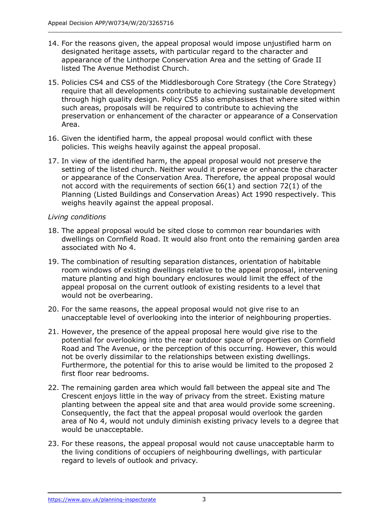- 14. For the reasons given, the appeal proposal would impose unjustified harm on designated heritage assets, with particular regard to the character and appearance of the Linthorpe Conservation Area and the setting of Grade II listed The Avenue Methodist Church.
- 15. Policies CS4 and CS5 of the Middlesborough Core Strategy (the Core Strategy) require that all developments contribute to achieving sustainable development through high quality design. Policy CS5 also emphasises that where sited within such areas, proposals will be required to contribute to achieving the preservation or enhancement of the character or appearance of a Conservation Area.
- 16. Given the identified harm, the appeal proposal would conflict with these policies. This weighs heavily against the appeal proposal.
- 17. In view of the identified harm, the appeal proposal would not preserve the setting of the listed church. Neither would it preserve or enhance the character or appearance of the Conservation Area. Therefore, the appeal proposal would not accord with the requirements of section 66(1) and section 72(1) of the Planning (Listed Buildings and Conservation Areas) Act 1990 respectively. This weighs heavily against the appeal proposal.

## *Living conditions*

- 18. The appeal proposal would be sited close to common rear boundaries with dwellings on Cornfield Road. It would also front onto the remaining garden area associated with No 4.
- 19. The combination of resulting separation distances, orientation of habitable room windows of existing dwellings relative to the appeal proposal, intervening mature planting and high boundary enclosures would limit the effect of the appeal proposal on the current outlook of existing residents to a level that would not be overbearing.
- 20. For the same reasons, the appeal proposal would not give rise to an unacceptable level of overlooking into the interior of neighbouring properties.
- 21. However, the presence of the appeal proposal here would give rise to the potential for overlooking into the rear outdoor space of properties on Cornfield Road and The Avenue, or the perception of this occurring. However, this would not be overly dissimilar to the relationships between existing dwellings. Furthermore, the potential for this to arise would be limited to the proposed 2 first floor rear bedrooms.
- 22. The remaining garden area which would fall between the appeal site and The Crescent enjoys little in the way of privacy from the street. Existing mature planting between the appeal site and that area would provide some screening. Consequently, the fact that the appeal proposal would overlook the garden area of No 4, would not unduly diminish existing privacy levels to a degree that would be unacceptable.
- 23. For these reasons, the appeal proposal would not cause unacceptable harm to the living conditions of occupiers of neighbouring dwellings, with particular regard to levels of outlook and privacy.